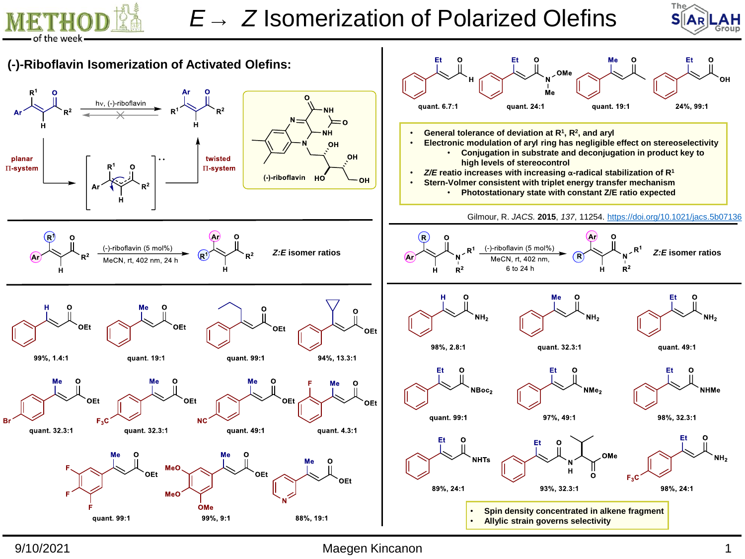

## *E* → *Z* Isomerization of Polarized Olefins





9/10/2021

Maegen Kincanon 11 and 12 and 12 and 12 and 13 and 13 and 13 and 13 and 13 and 13 and 13 and 13 and 13 and 13 and 13 and 13 and 13 and 13 and 13 and 13 and 13 and 13 and 13 and 13 and 13 and 13 and 13 and 13 and 13 and 13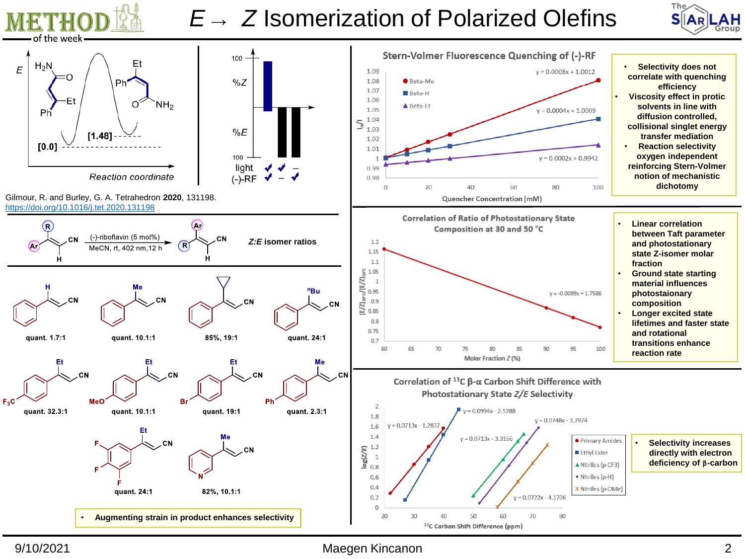## *E* → *Z* Isomerization of Polarized Olefins





Maegen Kincanon 2